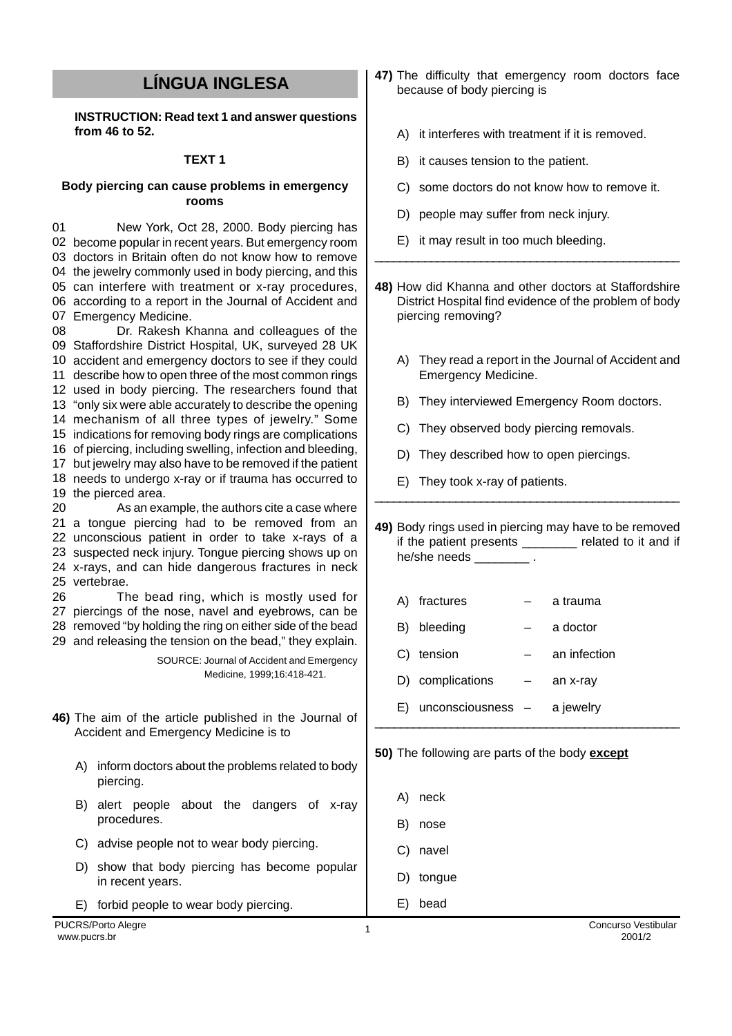## **LÍNGUA INGLESA**

**INSTRUCTION: Read text 1 and answer questions from 46 to 52.**

## **TEXT 1**

## **Body piercing can cause problems in emergency rooms**

01 become popular in recent years. But emergency room doctors in Britain often do not know how to remove the jewelry commonly used in body piercing, and this can interfere with treatment or x-ray procedures, according to a report in the Journal of Accident and Emergency Medicine. New York, Oct 28, 2000. Body piercing has

08 Staffordshire District Hospital, UK, surveyed 28 UK accident and emergency doctors to see if they could describe how to open three of the most common rings used in body piercing. The researchers found that "only six were able accurately to describe the opening mechanism of all three types of jewelry." Some indications for removing body rings are complications of piercing, including swelling, infection and bleeding, but jewelry may also have to be removed if the patient needs to undergo x-ray or if trauma has occurred to the pierced area.  $20$  a tongue piercing had to be removed from an unconscious patient in order to take x-rays of a suspected neck injury. Tongue piercing shows up on Dr. Rakesh Khanna and colleagues of the As an example, the authors cite a case where

24 x-rays, and can hide dangerous fractures in neck 25 vertebrae. 26 The bead ring, which is mostly used for

27 piercings of the nose, navel and eyebrows, can be 28 removed "by holding the ring on either side of the bead 29 and releasing the tension on the bead," they explain.

> SOURCE: Journal of Accident and Emergency Medicine, 1999;16:418-421.

- **46)** The aim of the article published in the Journal of Accident and Emergency Medicine is to
	- A) inform doctors about the problems related to body piercing.
	- B) alert people about the dangers of x-ray procedures.
	- C) advise people not to wear body piercing.
	- D) show that body piercing has become popular in recent years.
	- E) forbid people to wear body piercing.
- **47)** The difficulty that emergency room doctors face because of body piercing is
	- A) it interferes with treatment if it is removed.
	- B) it causes tension to the patient.
	- C) some doctors do not know how to remove it.
	- D) people may suffer from neck injury.
	- E) it may result in too much bleeding.
- **48)** How did Khanna and other doctors at Staffordshire District Hospital find evidence of the problem of body piercing removing?

\_\_\_\_\_\_\_\_\_\_\_\_\_\_\_\_\_\_\_\_\_\_\_\_\_\_\_\_\_\_\_\_\_\_\_\_\_\_\_\_\_\_\_\_\_\_\_\_\_

- A) They read a report in the Journal of Accident and Emergency Medicine.
- B) They interviewed Emergency Room doctors.
- C) They observed body piercing removals.
- D) They described how to open piercings.
- E) They took x-ray of patients.

**49)** Body rings used in piercing may have to be removed if the patient presents \_\_\_\_\_\_\_\_ related to it and if he/she needs \_\_\_\_\_\_\_\_\_\_.

\_\_\_\_\_\_\_\_\_\_\_\_\_\_\_\_\_\_\_\_\_\_\_\_\_\_\_\_\_\_\_\_\_\_\_\_\_\_\_\_\_\_\_\_\_\_\_\_\_

| A) | fractures         | a trauma     |
|----|-------------------|--------------|
| B) | bleeding          | a doctor     |
| C) | tension           | an infection |
|    | D) complications  | an x-ray     |
| E) | unconsciousness - | a jewelry    |
|    |                   |              |

|  | 50) The following are parts of the body except |  |  |  |
|--|------------------------------------------------|--|--|--|
|  |                                                |  |  |  |

- A) neck
- B) nose
- C) navel
- D) tongue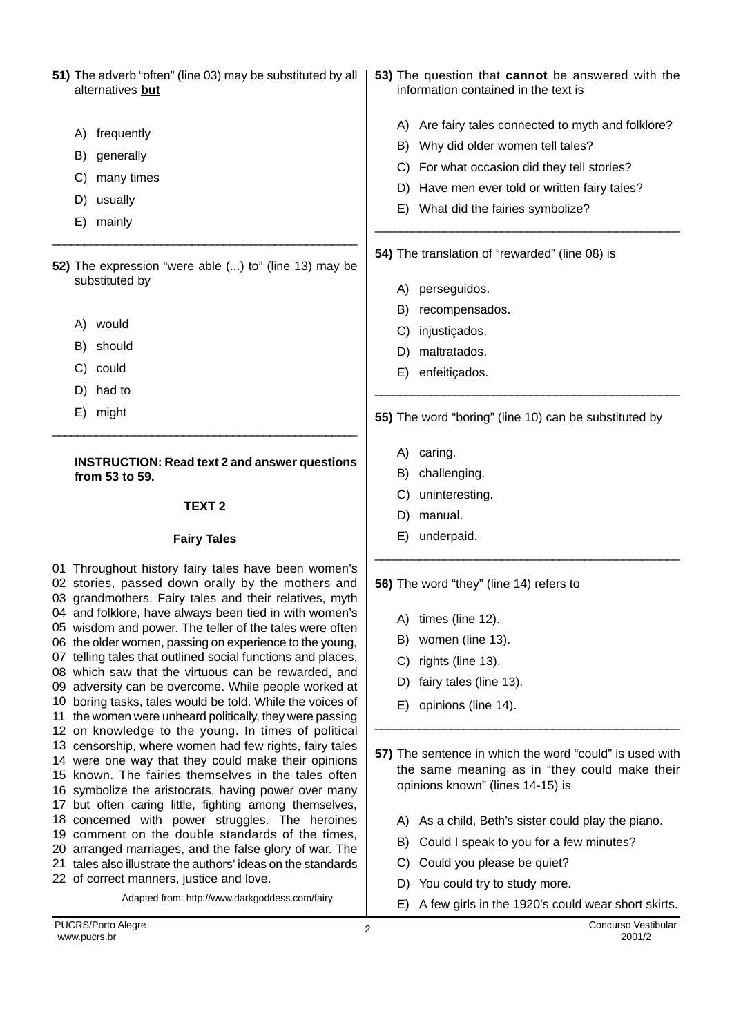**51)** The adverb "often" (line 03) may be substituted by all alternatives **but** A) frequently B) generally C) many times D) usually E) mainly \_\_\_\_\_\_\_\_\_\_\_\_\_\_\_\_\_\_\_\_\_\_\_\_\_\_\_\_\_\_\_\_\_\_\_\_\_\_\_\_\_\_\_\_\_\_\_\_ **52)** The expression "were able (...) to" (line 13) may be substituted by A) would B) should C) could D) had to E) might \_\_\_\_\_\_\_\_\_\_\_\_\_\_\_\_\_\_\_\_\_\_\_\_\_\_\_\_\_\_\_\_\_\_\_\_\_\_\_\_\_\_\_\_\_\_\_\_\_ **INSTRUCTION: Read text 2 and answer questions from 53 to 59. TEXT 2 Fairy Tales** 01 Throughout history fairy tales have been women's 02 stories, passed down orally by the mothers and 03 grandmothers. Fairy tales and their relatives, myth 04 and folklore, have always been tied in with women's 05 wisdom and power. The teller of the tales were often 06 the older women, passing on experience to the young, 07 telling tales that outlined social functions and places, 08 which saw that the virtuous can be rewarded, and 09 adversity can be overcome. While people worked at 10 boring tasks, tales would be told. While the voices of 11 the women were unheard politically, they were passing 12 on knowledge to the young. In times of political 13 censorship, where women had few rights, fairy tales 14 were one way that they could make their opinions 15 known. The fairies themselves in the tales often 16 symbolize the aristocrats, having power over many 17 but often caring little, fighting among themselves, 18 concerned with power struggles. The heroines 19 comment on the double standards of the times, 20 arranged marriages, and the false glory of war. The 21 tales also illustrate the authors' ideas on the standards 22 of correct manners, justice and love.Adapted from: http://www.darkgoddess.com/fairy **53)** The question that **cannot** be answered with the information contained in the text is A) Are fairy tales connected to myth and folklore? B) Why did older women tell tales? C) For what occasion did they tell stories? D) Have men ever told or written fairy tales? E) What did the fairies symbolize? \_\_\_\_\_\_\_\_\_\_\_\_\_\_\_\_\_\_\_\_\_\_\_\_\_\_\_\_\_\_\_\_\_\_\_\_\_\_\_\_\_\_\_\_\_\_\_\_ **54)** The translation of "rewarded" (line 08) is A) perseguidos. B) recompensados. C) iniusticados. D) maltratados. E) enfeitiçados. \_\_\_\_\_\_\_\_\_\_\_\_\_\_\_\_\_\_\_\_\_\_\_\_\_\_\_\_\_\_\_\_\_\_\_\_\_\_\_\_\_\_\_\_\_\_\_\_\_ **55)** The word "boring" (line 10) can be substituted by A) caring. B) challenging. C) uninteresting. D) manual. E) underpaid. \_\_\_\_\_\_\_\_\_\_\_\_\_\_\_\_\_\_\_\_\_\_\_\_\_\_\_\_\_\_\_\_\_\_\_\_\_\_\_\_\_\_\_\_\_\_\_\_ **56)** The word "they" (line 14) refers to A) times (line 12). B) women (line 13). C) rights (line 13). D) fairy tales (line 13). E) opinions (line 14). \_\_\_\_\_\_\_\_\_\_\_\_\_\_\_\_\_\_\_\_\_\_\_\_\_\_\_\_\_\_\_\_\_\_\_\_\_\_\_\_\_\_\_\_\_\_\_\_ **57)** The sentence in which the word "could" is used with the same meaning as in "they could make their opinions known" (lines 14-15) is A) As a child, Beth's sister could play the piano. B) Could I speak to you for a few minutes? C) Could you please be quiet? D) You could try to study more. E) A few girls in the 1920's could wear short skirts.